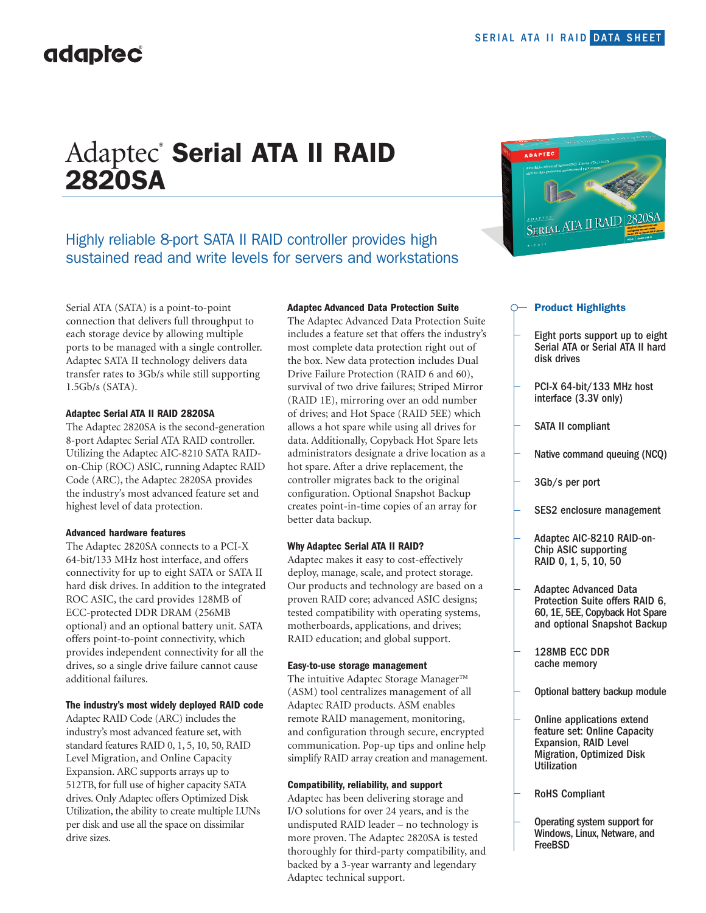## Adaptec<sup>®</sup> Serial ATA II RAID 2820SA

### Highly reliable 8-port SATA II RAID controller provides high sustained read and write levels for servers and workstations

Serial ATA (SATA) is a point-to-point connection that delivers full throughput to each storage device by allowing multiple ports to be managed with a single controller. Adaptec SATA II technology delivers data transfer rates to 3Gb/s while still supporting 1.5Gb/s (SATA).

#### **Adaptec Serial ATA II RAID 2820SA**

The Adaptec 2820SA is the second-generation 8-port Adaptec Serial ATA RAID controller. Utilizing the Adaptec AIC-8210 SATA RAIDon-Chip (ROC) ASIC, running Adaptec RAID Code (ARC), the Adaptec 2820SA provides the industry's most advanced feature set and highest level of data protection.

#### **Advanced hardware features**

The Adaptec 2820SA connects to a PCI-X 64-bit/133 MHz host interface, and offers connectivity for up to eight SATA or SATA II hard disk drives. In addition to the integrated ROC ASIC, the card provides 128MB of ECC-protected DDR DRAM (256MB optional) and an optional battery unit. SATA offers point-to-point connectivity, which provides independent connectivity for all the drives, so a single drive failure cannot cause additional failures.

#### **The industry's most widely deployed RAID code**

Adaptec RAID Code (ARC) includes the industry's most advanced feature set, with standard features RAID 0, 1, 5, 10, 50, RAID Level Migration, and Online Capacity Expansion. ARC supports arrays up to 512TB, for full use of higher capacity SATA drives. Only Adaptec offers Optimized Disk Utilization, the ability to create multiple LUNs per disk and use all the space on dissimilar drive sizes.

#### **Adaptec Advanced Data Protection Suite**

The Adaptec Advanced Data Protection Suite includes a feature set that offers the industry's most complete data protection right out of the box. New data protection includes Dual Drive Failure Protection (RAID 6 and 60), survival of two drive failures; Striped Mirror (RAID 1E), mirroring over an odd number of drives; and Hot Space (RAID 5EE) which allows a hot spare while using all drives for data. Additionally, Copyback Hot Spare lets administrators designate a drive location as a hot spare. After a drive replacement, the controller migrates back to the original configuration. Optional Snapshot Backup creates point-in-time copies of an array for better data backup.

#### **Why Adaptec Serial ATA II RAID?**

Adaptec makes it easy to cost-effectively deploy, manage, scale, and protect storage. Our products and technology are based on a proven RAID core; advanced ASIC designs; tested compatibility with operating systems, motherboards, applications, and drives; RAID education; and global support.

#### **Easy-to-use storage management**

The intuitive Adaptec Storage Manager™ (ASM) tool centralizes management of all Adaptec RAID products. ASM enables remote RAID management, monitoring, and configuration through secure, encrypted communication. Pop-up tips and online help simplify RAID array creation and management.

#### **Compatibility, reliability, and support**

Adaptec has been delivering storage and I/O solutions for over 24 years, and is the undisputed RAID leader – no technology is more proven. The Adaptec 2820SA is tested thoroughly for third-party compatibility, and backed by a 3-year warranty and legendary Adaptec technical support.



#### Product Highlights

- Eight ports support up to eight Serial ATA or Serial ATA II hard disk drives
- PCI-X 64-bit/133 MHz host interface (3.3V only)
- SATA II compliant
- Native command queuing (NCQ)
- 3Gb/s per port
- SES2 enclosure management
- Adaptec AIC-8210 RAID-on-Chip ASIC supporting RAID 0, 1, 5, 10, 50
- Adaptec Advanced Data Protection Suite offers RAID 6, 60, 1E, 5EE, Copyback Hot Spare and optional Snapshot Backup
- 128MB ECC DDR cache memory
- Optional battery backup module
- Online applications extend feature set: Online Capacity Expansion, RAID Level Migration, Optimized Disk Utilization
- RoHS Compliant
- Operating system support for Windows, Linux, Netware, and FreeBSD